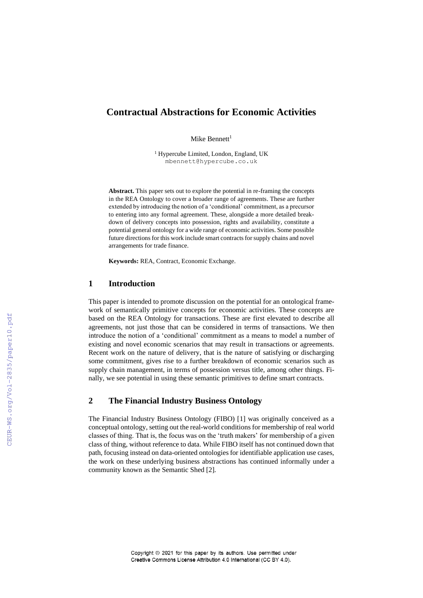# **Contractual Abstractions for Economic Activities**

Mike Bennett $1$ 

<sup>1</sup> Hypercube Limited, London, England, UK mbennett@hypercube.co.uk

**Abstract.** This paper sets out to explore the potential in re-framing the concepts in the REA Ontology to cover a broader range of agreements. These are further extended by introducing the notion of a 'conditional' commitment, as a precursor to entering into any formal agreement. These, alongside a more detailed breakdown of delivery concepts into possession, rights and availability, constitute a potential general ontology for a wide range of economic activities. Some possible future directions for this work include smart contracts for supply chains and novel arrangements for trade finance.

**Keywords:** REA, Contract, Economic Exchange.

### **1 Introduction**

This paper is intended to promote discussion on the potential for an ontological framework of semantically primitive concepts for economic activities. These concepts are based on the REA Ontology for transactions. These are first elevated to describe all agreements, not just those that can be considered in terms of transactions. We then introduce the notion of a 'conditional' commitment as a means to model a number of existing and novel economic scenarios that may result in transactions or agreements. Recent work on the nature of delivery, that is the nature of satisfying or discharging some commitment, gives rise to a further breakdown of economic scenarios such as supply chain management, in terms of possession versus title, among other things. Finally, we see potential in using these semantic primitives to define smart contracts.

### **2 The Financial Industry Business Ontology**

The Financial Industry Business Ontology (FIBO) [1] was originally conceived as a conceptual ontology, setting out the real-world conditions for membership of real world classes of thing. That is, the focus was on the 'truth makers' for membership of a given class of thing, without reference to data. While FIBO itself has not continued down that path, focusing instead on data-oriented ontologies for identifiable application use cases, the work on these underlying business abstractions has continued informally under a community known as the Semantic Shed [2].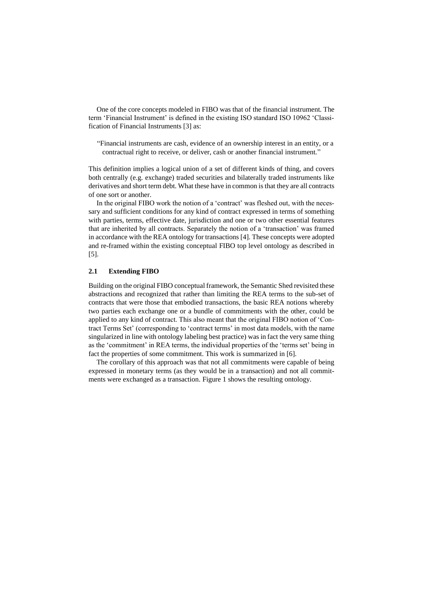One of the core concepts modeled in FIBO was that of the financial instrument. The term 'Financial Instrument' is defined in the existing ISO standard ISO 10962 'Classification of Financial Instruments [3] as:

"Financial instruments are cash, evidence of an ownership interest in an entity, or a contractual right to receive, or deliver, cash or another financial instrument."

This definition implies a logical union of a set of different kinds of thing, and covers both centrally (e.g. exchange) traded securities and bilaterally traded instruments like derivatives and short term debt. What these have in common is that they are all contracts of one sort or another.

In the original FIBO work the notion of a 'contract' was fleshed out, with the necessary and sufficient conditions for any kind of contract expressed in terms of something with parties, terms, effective date, jurisdiction and one or two other essential features that are inherited by all contracts. Separately the notion of a 'transaction' was framed in accordance with the REA ontology for transactions [4]. These concepts were adopted and re-framed within the existing conceptual FIBO top level ontology as described in [5].

# **2.1 Extending FIBO**

Building on the original FIBO conceptual framework, the Semantic Shed revisited these abstractions and recognized that rather than limiting the REA terms to the sub-set of contracts that were those that embodied transactions, the basic REA notions whereby two parties each exchange one or a bundle of commitments with the other, could be applied to any kind of contract. This also meant that the original FIBO notion of 'Contract Terms Set' (corresponding to 'contract terms' in most data models, with the name singularized in line with ontology labeling best practice) was in fact the very same thing as the 'commitment' in REA terms, the individual properties of the 'terms set' being in fact the properties of some commitment. This work is summarized in [6].

The corollary of this approach was that not all commitments were capable of being expressed in monetary terms (as they would be in a transaction) and not all commitments were exchanged as a transaction. Figure 1 shows the resulting ontology.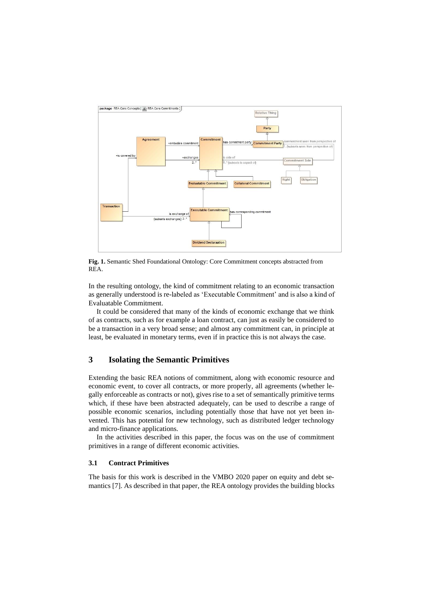

**Fig. 1.** Semantic Shed Foundational Ontology: Core Commitment concepts abstracted from REA.

In the resulting ontology, the kind of commitment relating to an economic transaction as generally understood is re-labeled as 'Executable Commitment' and is also a kind of Evaluatable Commitment.

It could be considered that many of the kinds of economic exchange that we think of as contracts, such as for example a loan contract, can just as easily be considered to be a transaction in a very broad sense; and almost any commitment can, in principle at least, be evaluated in monetary terms, even if in practice this is not always the case.

# **3 Isolating the Semantic Primitives**

Extending the basic REA notions of commitment, along with economic resource and economic event, to cover all contracts, or more properly, all agreements (whether legally enforceable as contracts or not), gives rise to a set of semantically primitive terms which, if these have been abstracted adequately, can be used to describe a range of possible economic scenarios, including potentially those that have not yet been invented. This has potential for new technology, such as distributed ledger technology and micro-finance applications.

In the activities described in this paper, the focus was on the use of commitment primitives in a range of different economic activities.

### **3.1 Contract Primitives**

The basis for this work is described in the VMBO 2020 paper on equity and debt semantics [7]. As described in that paper, the REA ontology provides the building blocks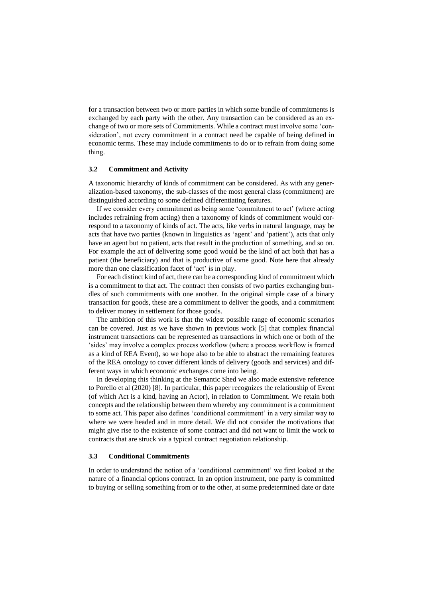for a transaction between two or more parties in which some bundle of commitments is exchanged by each party with the other. Any transaction can be considered as an exchange of two or more sets of Commitments. While a contract must involve some 'consideration', not every commitment in a contract need be capable of being defined in economic terms. These may include commitments to do or to refrain from doing some thing.

#### **3.2 Commitment and Activity**

A taxonomic hierarchy of kinds of commitment can be considered. As with any generalization-based taxonomy, the sub-classes of the most general class (commitment) are distinguished according to some defined differentiating features.

If we consider every commitment as being some 'commitment to act' (where acting includes refraining from acting) then a taxonomy of kinds of commitment would correspond to a taxonomy of kinds of act. The acts, like verbs in natural language, may be acts that have two parties (known in linguistics as 'agent' and 'patient'), acts that only have an agent but no patient, acts that result in the production of something, and so on. For example the act of delivering some good would be the kind of act both that has a patient (the beneficiary) and that is productive of some good. Note here that already more than one classification facet of 'act' is in play.

For each distinct kind of act, there can be a corresponding kind of commitment which is a commitment to that act. The contract then consists of two parties exchanging bundles of such commitments with one another. In the original simple case of a binary transaction for goods, these are a commitment to deliver the goods, and a commitment to deliver money in settlement for those goods.

The ambition of this work is that the widest possible range of economic scenarios can be covered. Just as we have shown in previous work [5] that complex financial instrument transactions can be represented as transactions in which one or both of the 'sides' may involve a complex process workflow (where a process workflow is framed as a kind of REA Event), so we hope also to be able to abstract the remaining features of the REA ontology to cover different kinds of delivery (goods and services) and different ways in which economic exchanges come into being.

In developing this thinking at the Semantic Shed we also made extensive reference to Porello et al (2020) [8]. In particular, this paper recognizes the relationship of Event (of which Act is a kind, having an Actor), in relation to Commitment. We retain both concepts and the relationship between them whereby any commitment is a commitment to some act. This paper also defines 'conditional commitment' in a very similar way to where we were headed and in more detail. We did not consider the motivations that might give rise to the existence of some contract and did not want to limit the work to contracts that are struck via a typical contract negotiation relationship.

#### **3.3 Conditional Commitments**

In order to understand the notion of a 'conditional commitment' we first looked at the nature of a financial options contract. In an option instrument, one party is committed to buying or selling something from or to the other, at some predetermined date or date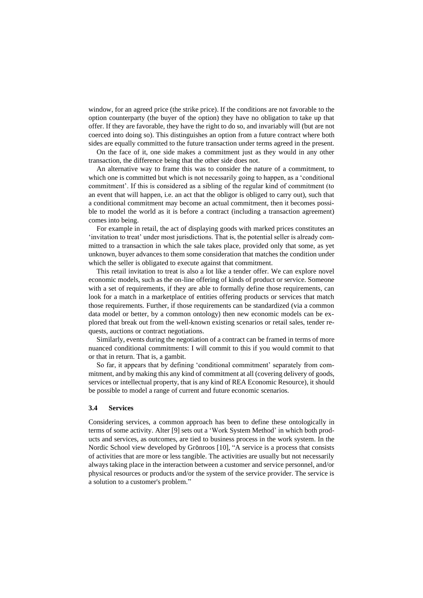window, for an agreed price (the strike price). If the conditions are not favorable to the option counterparty (the buyer of the option) they have no obligation to take up that offer. If they are favorable, they have the right to do so, and invariably will (but are not coerced into doing so). This distinguishes an option from a future contract where both sides are equally committed to the future transaction under terms agreed in the present.

On the face of it, one side makes a commitment just as they would in any other transaction, the difference being that the other side does not.

An alternative way to frame this was to consider the nature of a commitment, to which one is committed but which is not necessarily going to happen, as a 'conditional commitment'. If this is considered as a sibling of the regular kind of commitment (to an event that will happen, i.e. an act that the obligor is obliged to carry out), such that a conditional commitment may become an actual commitment, then it becomes possible to model the world as it is before a contract (including a transaction agreement) comes into being.

For example in retail, the act of displaying goods with marked prices constitutes an 'invitation to treat' under most jurisdictions. That is, the potential seller is already committed to a transaction in which the sale takes place, provided only that some, as yet unknown, buyer advances to them some consideration that matches the condition under which the seller is obligated to execute against that commitment.

This retail invitation to treat is also a lot like a tender offer. We can explore novel economic models, such as the on-line offering of kinds of product or service. Someone with a set of requirements, if they are able to formally define those requirements, can look for a match in a marketplace of entities offering products or services that match those requirements. Further, if those requirements can be standardized (via a common data model or better, by a common ontology) then new economic models can be explored that break out from the well-known existing scenarios or retail sales, tender requests, auctions or contract negotiations.

Similarly, events during the negotiation of a contract can be framed in terms of more nuanced conditional commitments: I will commit to this if you would commit to that or that in return. That is, a gambit.

So far, it appears that by defining 'conditional commitment' separately from commitment, and by making this any kind of commitment at all (covering delivery of goods, services or intellectual property, that is any kind of REA Economic Resource), it should be possible to model a range of current and future economic scenarios.

#### **3.4 Services**

Considering services, a common approach has been to define these ontologically in terms of some activity. Alter [9] sets out a 'Work System Method' in which both products and services, as outcomes, are tied to business process in the work system. In the Nordic School view developed by Grönroos [10], "A service is a process that consists of activities that are more or less tangible. The activities are usually but not necessarily always taking place in the interaction between a customer and service personnel, and/or physical resources or products and/or the system of the service provider. The service is a solution to a customer's problem."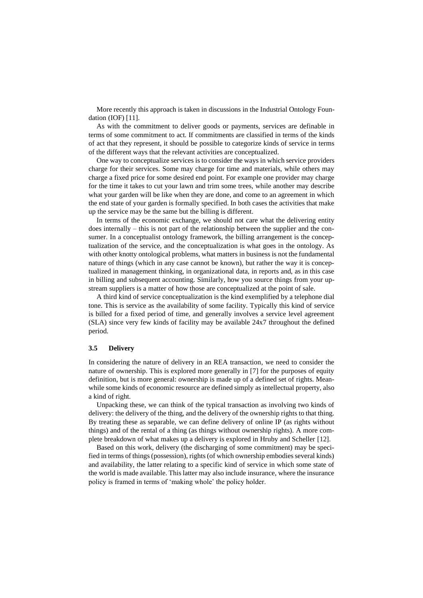More recently this approach is taken in discussions in the Industrial Ontology Foundation (IOF) [11].

As with the commitment to deliver goods or payments, services are definable in terms of some commitment to act. If commitments are classified in terms of the kinds of act that they represent, it should be possible to categorize kinds of service in terms of the different ways that the relevant activities are conceptualized.

One way to conceptualize services is to consider the ways in which service providers charge for their services. Some may charge for time and materials, while others may charge a fixed price for some desired end point. For example one provider may charge for the time it takes to cut your lawn and trim some trees, while another may describe what your garden will be like when they are done, and come to an agreement in which the end state of your garden is formally specified. In both cases the activities that make up the service may be the same but the billing is different.

In terms of the economic exchange, we should not care what the delivering entity does internally – this is not part of the relationship between the supplier and the consumer. In a conceptualist ontology framework, the billing arrangement is the conceptualization of the service, and the conceptualization is what goes in the ontology. As with other knotty ontological problems, what matters in business is not the fundamental nature of things (which in any case cannot be known), but rather the way it is conceptualized in management thinking, in organizational data, in reports and, as in this case in billing and subsequent accounting. Similarly, how you source things from your upstream suppliers is a matter of how those are conceptualized at the point of sale.

A third kind of service conceptualization is the kind exemplified by a telephone dial tone. This is service as the availability of some facility. Typically this kind of service is billed for a fixed period of time, and generally involves a service level agreement (SLA) since very few kinds of facility may be available 24x7 throughout the defined period.

#### **3.5 Delivery**

In considering the nature of delivery in an REA transaction, we need to consider the nature of ownership. This is explored more generally in [7] for the purposes of equity definition, but is more general: ownership is made up of a defined set of rights. Meanwhile some kinds of economic resource are defined simply as intellectual property, also a kind of right.

Unpacking these, we can think of the typical transaction as involving two kinds of delivery: the delivery of the thing, and the delivery of the ownership rights to that thing. By treating these as separable, we can define delivery of online IP (as rights without things) and of the rental of a thing (as things without ownership rights). A more complete breakdown of what makes up a delivery is explored in Hruby and Scheller [12].

Based on this work, delivery (the discharging of some commitment) may be specified in terms of things (possession), rights (of which ownership embodies several kinds) and availability, the latter relating to a specific kind of service in which some state of the world is made available. This latter may also include insurance, where the insurance policy is framed in terms of 'making whole' the policy holder.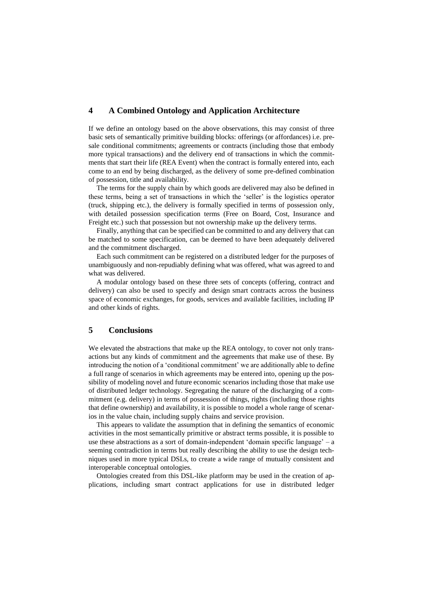# **4 A Combined Ontology and Application Architecture**

If we define an ontology based on the above observations, this may consist of three basic sets of semantically primitive building blocks: offerings (or affordances) i.e. presale conditional commitments; agreements or contracts (including those that embody more typical transactions) and the delivery end of transactions in which the commitments that start their life (REA Event) when the contract is formally entered into, each come to an end by being discharged, as the delivery of some pre-defined combination of possession, title and availability.

The terms for the supply chain by which goods are delivered may also be defined in these terms, being a set of transactions in which the 'seller' is the logistics operator (truck, shipping etc.), the delivery is formally specified in terms of possession only, with detailed possession specification terms (Free on Board, Cost, Insurance and Freight etc.) such that possession but not ownership make up the delivery terms.

Finally, anything that can be specified can be committed to and any delivery that can be matched to some specification, can be deemed to have been adequately delivered and the commitment discharged.

Each such commitment can be registered on a distributed ledger for the purposes of unambiguously and non-repudiably defining what was offered, what was agreed to and what was delivered.

A modular ontology based on these three sets of concepts (offering, contract and delivery) can also be used to specify and design smart contracts across the business space of economic exchanges, for goods, services and available facilities, including IP and other kinds of rights.

# **5 Conclusions**

We elevated the abstractions that make up the REA ontology, to cover not only transactions but any kinds of commitment and the agreements that make use of these. By introducing the notion of a 'conditional commitment' we are additionally able to define a full range of scenarios in which agreements may be entered into, opening up the possibility of modeling novel and future economic scenarios including those that make use of distributed ledger technology. Segregating the nature of the discharging of a commitment (e.g. delivery) in terms of possession of things, rights (including those rights that define ownership) and availability, it is possible to model a whole range of scenarios in the value chain, including supply chains and service provision.

This appears to validate the assumption that in defining the semantics of economic activities in the most semantically primitive or abstract terms possible, it is possible to use these abstractions as a sort of domain-independent 'domain specific language' – a seeming contradiction in terms but really describing the ability to use the design techniques used in more typical DSLs, to create a wide range of mutually consistent and interoperable conceptual ontologies.

Ontologies created from this DSL-like platform may be used in the creation of applications, including smart contract applications for use in distributed ledger